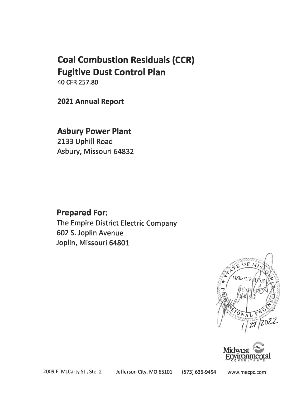# **Coal Combustion Residuals (CCR) Fugitive Dust Control Plan**

40 CFR 257.80

2021 Annual Report

# **Asbury Power Plant**

2133 Uphill Road Asbury, Missouri 64832

# **Prepared For:**

The Empire District Electric Company 602 S. Joplin Avenue Joplin, Missouri 64801





2009 E. McCarty St., Ste. 2

Jefferson City, MO 65101

(573) 636-9454

www.mecpc.com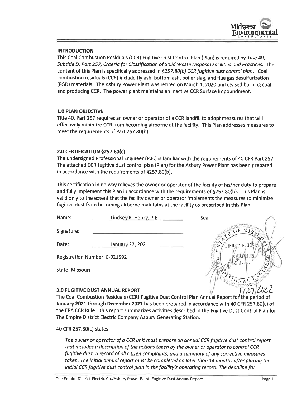

# **INTRODUCTION**

This Coal Combustion Residuals (CCR) Fugitive Dust Control Plan (Plan) is required by Title 40, Subtitle D, Part 257, Criteria for Classification of Solid Waste Disposal Facilities and Practices. The content of this Plan is specifically addressed in §257.80(b) CCR fugitive dust control plan. Coal combustion residuals (CCR) include fly ash, bottom ash, boiler slag, and flue gas desulfurization (FGD) materials. The Asbury Power Plant was retired on March 1, 2020 and ceased burning coal and producing CCR. The power plant maintains an inactive CCR Surface Impoundment.

# **1.0 PLAN OBJECTIVE**

Title 40, Part 257 requires an owner or operator of a CCR landfill to adopt measures that will effectively minimize CCR from becoming airborne at the facility. This Plan addresses measures to meet the requirements of Part 257.80(b).

# 2.0 CERTIFICATION §257.80(c)

The undersigned Professional Engineer (P.E.) is familiar with the requirements of 40 CFR Part 257. The attached CCR fugitive dust control plan (Plan) for the Asbury Power Plant has been prepared in accordance with the requirements of §257.80(b).

This certification in no way relieves the owner or operator of the facility of his/her duty to prepare and fully implement this Plan in accordance with the requirements of §257.80(b). This Plan is valid only to the extent that the facility owner or operator implements the measures to minimize fugitive dust from becoming airborne maintains at the facility as prescribed in this Plan.

| Name:                                | Lindsey R. Henry, P.E.                 | Seal                               |
|--------------------------------------|----------------------------------------|------------------------------------|
| Signature:                           |                                        | OFMIS <sub>o</sub><br>$\mathbf{G}$ |
| Date:                                | January 27, 2021                       | LINDSEY R. HE.<br>∞                |
| <b>Registration Number: E-021592</b> |                                        |                                    |
| State: Missouri                      |                                        |                                    |
|                                      | <b>3.0 FUGITIVE DUST ANNUAL REPORT</b> |                                    |

#### **3.0 FUGITIVE DUST ANNUAL REPORT**

The Coal Combustion Residuals (CCR) Fugitive Dust Control Plan Annual Report for the period of January 2021 through December 2021 has been prepared in accordance with 40 CFR 257.80(c) of the EPA CCR Rule. This report summarizes activities described in the Fugitive Dust Control Plan for The Empire District Electric Company Asbury Generating Station.

40 CFR 257.80(c) states:

The owner or operator of a CCR unit must prepare an annual CCR fugitive dust control report that includes a description of the actions taken by the owner or operator to control CCR fugitive dust, a record of all citizen complaints, and a summary of any corrective measures taken. The initial annual report must be completed no later than 14 months after placing the initial CCR fugitive dust control plan in the facility's operating record. The deadline for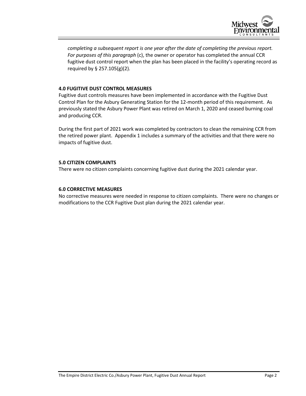

*completing a subsequent report is one year after the date of completing the previous report. For purposes of this paragraph* (c), the owner or operator has completed the annual CCR fugitive dust control report when the plan has been placed in the facility's operating record as required by § 257.105(g)(2).

# **4.0 FUGITIVE DUST CONTROL MEASURES**

Fugitive dust controls measures have been implemented in accordance with the Fugitive Dust Control Plan for the Asbury Generating Station for the 12-month period of this requirement. As previously stated the Asbury Power Plant was retired on March 1, 2020 and ceased burning coal and producing CCR.

During the first part of 2021 work was completed by contractors to clean the remaining CCR from the retired power plant. Appendix 1 includes a summary of the activities and that there were no impacts of fugitive dust.

#### **5.0 CITIZEN COMPLAINTS**

There were no citizen complaints concerning fugitive dust during the 2021 calendar year.

# **6.0 CORRECTIVE MEASURES**

No corrective measures were needed in response to citizen complaints. There were no changes or modifications to the CCR Fugitive Dust plan during the 2021 calendar year.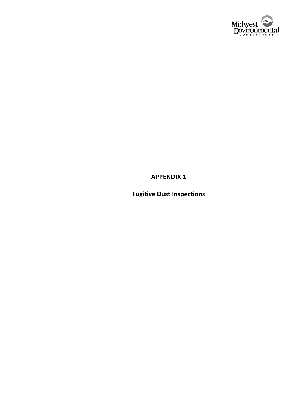

**APPENDIX 1**

**Fugitive Dust Inspections**